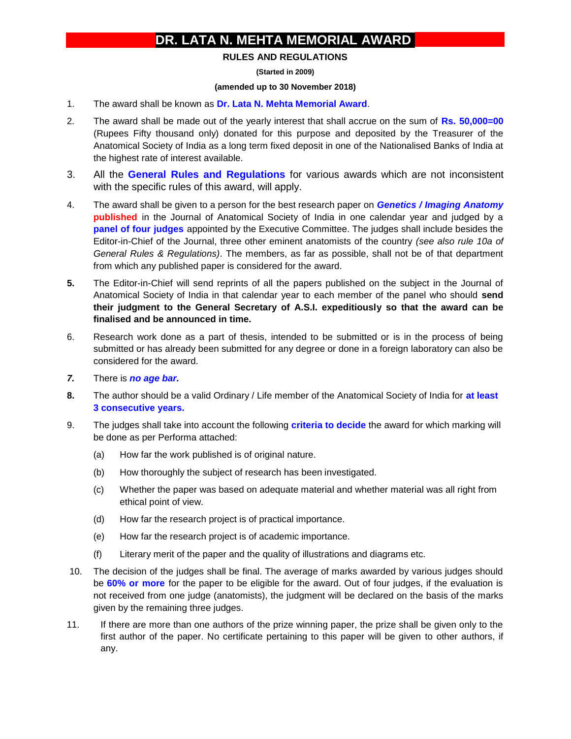## **DR. LATA N. MEHTA MEMORIAL AWARD**

## **RULES AND REGULATIONS**

**(Started in 2009)**

## **(amended up to 30 November 2018)**

- 1. The award shall be known as **Dr. Lata N. Mehta Memorial Award**.
- 2. The award shall be made out of the yearly interest that shall accrue on the sum of **Rs. 50,000=00** (Rupees Fifty thousand only) donated for this purpose and deposited by the Treasurer of the Anatomical Society of India as a long term fixed deposit in one of the Nationalised Banks of India at the highest rate of interest available.
- 3. All the **General Rules and Regulations** for various awards which are not inconsistent with the specific rules of this award, will apply.
- 4. The award shall be given to a person for the best research paper on *Genetics / Imaging Anatomy* **published** in the Journal of Anatomical Society of India in one calendar year and judged by a **panel of four judges** appointed by the Executive Committee. The judges shall include besides the Editor-in-Chief of the Journal, three other eminent anatomists of the country *(see also rule 10a of General Rules & Regulations)*. The members, as far as possible, shall not be of that department from which any published paper is considered for the award.
- **5.** The Editor-in-Chief will send reprints of all the papers published on the subject in the Journal of Anatomical Society of India in that calendar year to each member of the panel who should **send their judgment to the General Secretary of A.S.I. expeditiously so that the award can be finalised and be announced in time.**
- 6. Research work done as a part of thesis, intended to be submitted or is in the process of being submitted or has already been submitted for any degree or done in a foreign laboratory can also be considered for the award.
- *7.* There is *no age bar.*
- **8.** The author should be a valid Ordinary / Life member of the Anatomical Society of India for **at least 3 consecutive years.**
- 9. The judges shall take into account the following **criteria to decide** the award for which marking will be done as per Performa attached:
	- (a) How far the work published is of original nature.
	- (b) How thoroughly the subject of research has been investigated.
	- (c) Whether the paper was based on adequate material and whether material was all right from ethical point of view.
	- (d) How far the research project is of practical importance.
	- (e) How far the research project is of academic importance.
	- (f) Literary merit of the paper and the quality of illustrations and diagrams etc.
- 10. The decision of the judges shall be final. The average of marks awarded by various judges should be **60% or more** for the paper to be eligible for the award. Out of four judges, if the evaluation is not received from one judge (anatomists), the judgment will be declared on the basis of the marks given by the remaining three judges.
- 11. If there are more than one authors of the prize winning paper, the prize shall be given only to the first author of the paper. No certificate pertaining to this paper will be given to other authors, if any.